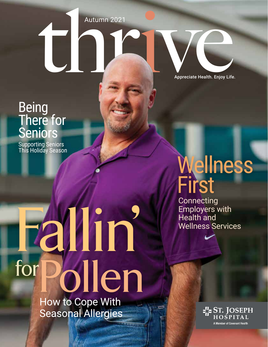thrive Appreciate Health. Enjoy Life. Autumn 2021

## Being There for **Seniors**

Supporting Seniors This Holiday Season

for

# **Wellness** First

**Connecting** Employers with Health and Wellness Services

How to Cope With **Seasonal Allergies** 

boller

**Fallin** 

 $\frac{1}{2}$ ST. JOSEPH HOSPITAL A Member of Covenant Health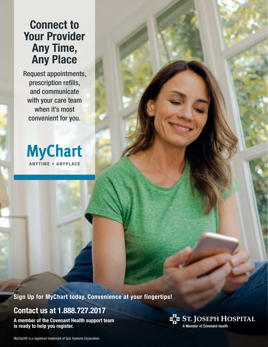## Connect to Your Provider Any Time, Any Place

Request appointments, prescription refills, and communicate with your care team when it's most convenient for you.



Sign Up for MyChart today. Convenience at your fingertips!

## Contact us at 1.888.727.2017

A member of the Covenant Health support team is ready to help you register.



MyChart® is a registered trademark of Epic Systems Corporation.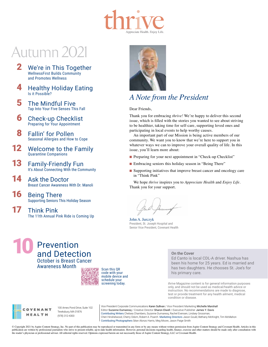

## Autumn 2021

- We're in This Together WellnessFirst Builds Community and Promotes Wellness
- 4 Healthy Holiday Eating Is it Possible?
- **5** The Mindful Five Tap Into Your Five Senses This Fall
- **6** Check-up Checklist Preparing for Your Appointment
- 8 Fallin' for Pollen Seasonal Allergies and How to Cope
- **12** Welcome to the Family Quarantine Companions
- **13** Family-Friendly Fun It's About Connecting With the Community
- 14 Ask the Doctor Breast Cancer Awareness With Dr. Manoli
- **16** Being There Supporting Seniors This Holiday Season
- 17 Think Pink The 11th Annual Pink Ride is Coming Up



## *A Note from the President*

### Dear Friends,

Thank you for embracing *thrive!* We're happy to deliver this second issue, which is filled with the stories you wanted to see about striving to be healthier, taking time for self-care, supporting loved ones and participating in local events to help worthy causes.

An important part of our Mission is being active members of our community. We want you to know that we're here to support you in whatever ways we can to improve your overall quality of life. In this issue, you'll learn more about:

- n Preparing for your next appointment in "Check-up Checklist"
- n Embracing seniors this holiday season in "Being There"
- n Supporting initiatives that improve breast cancer and oncology care in "Think Pink"

We hope *thrive* inspires you to *Appreciate Health* and *Enjoy Life.* Thank you for your support.

John A. Jurczyk President, St. Joseph Hospital and Senior Vice President, Covenant Health

## Prevention and Detection October is Breast Cancer Awareness Month **Awareness Month**

code with your mobile device and schedule your screening today.

### **On the Cover**

Ed Canto is local CDL-A driver. Nashua has been his home for 25 years. Ed is married and has two daughters. He chooses St. Joe's for his primary care.

*thrive* Magazine content is for general information purposes only, and should not be used as medical/health advice or instruction. No recommendations are made to diagnose, test or provide treatment for any health ailment, medical condition or disease.



100 Ames Pond Drive, Suite 102 Tewksbury, MA 01876 (978) 312-4300

Vice President Corporate Communications Karen Sullivan / Vice President Marketing Michelle Marshall Editor Suzanne Dumaresq / Creative Director Sharon Elwell / Executive Publisher James Y. Davis Contributing Writers Chelsea Chambers, Suzanne Dumaresq, Rachel Evensen, Lindsey Grossman, Cheri Hinshelwood, Cherry Odom, Robert A. Poarch Marketing Directors Jason Gould, Bethany McKnight, Tim McMahon Contributing Photographers Séan Alonzo Harris, Meg Moore, Jason Paige Smith

© Copyright 2021 by Aspire Content Strategy, Inc. No part of this publication may be reproduced or transmitted in any form or by any means without written permission from Aspire Content Strategy and Covenant Health. Articl the reader's physician or professional adviser. All editorial rights reserved. Opinions expressed herein are not necessarily those of Aspire Content Strategy, LLC or Covenant Health.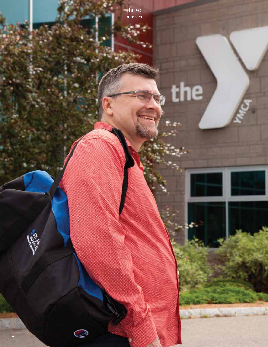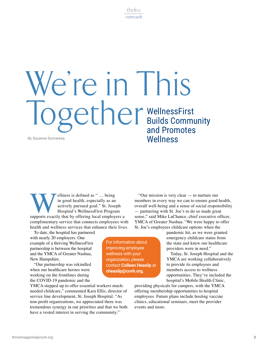## We're in This Together WellnessFirst Builds Community and Promotes **Wellness** By Suzanne Dumaresq

For information about improving employee wellness with your organization, please contact **Colleen Heaslip** at **cheaslip@covh.org.**

Wellness is defined as "... being<br>
in good health, especially as an<br>
actively pursued goal." St. Joseph<br>
Hospital's WellnessFirst Program<br>
supports exactly that by offering local employers a in good health, especially as an actively pursued goal." St. Joseph Hospital's WellnessFirst Program complimentary service that connects employees with health and wellness services that enhance their lives.

To date, the hospital has partnered with nearly 20 employers. One example of a thriving WellnessFirst partnership is between the hospital and the YMCA of Greater Nashua, New Hampshire.

"Our partnership was rekindled when our healthcare heroes were working on the frontlines during the COVID-19 pandemic and the

YMCA stepped up to offer essential workers muchneeded childcare," commented Kara Ellis, director of service line development, St. Joseph Hospital. "As non-profit organizations, we appreciated there was tremendous synergy in our priorities and that we both have a vested interest in serving the community."

"Our mission is very clear — to nurture our members in every way we can to ensure good health, overall well-being and a sense of social responsibility — partnering with St. Joe's to do so made great sense," said Mike LaChance, chief executive offcer, YMCA of Greater Nashua. "We were happy to offer St. Joe's employees childcare options when the

> pandemic hit, as we were granted emergency childcare status from the state and knew our healthcare providers were in need."

Today, St. Joseph Hospital and the YMCA are working collaboratively to provide its employees and members access to wellness opportunities. They've included the hospital's Mobile Health Clinic,

providing physicals for campers, with the YMCA offering membership opportunities to hospital employees. Future plans include hosting vaccine clinics, educational seminars, meet the provider events and more.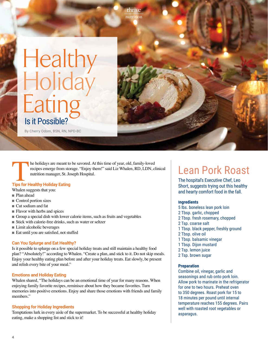thrive nutrition

# **Healthy** Holiday Eating Is it Possible?

By Cherry Odom, BSN, RN, NPD-BC

The holidays are meant to be savored. At this time of year, old, family-loved<br>recipes emerge from storage. "Enjoy them!" said Liz Whalen, RD, LDN, cl<br>nutrition manager, St. Joseph Hospital.<br>Tips for Healthy Holiday Eating recipes emerge from storage. "Enjoy them!" said Liz Whalen, RD, LDN, clinical nutrition manager, St. Joseph Hospital.

### **Tips for Healthy Holiday Eating**

Whalen suggests that you:

- <sup>n</sup> Plan ahead
- <sup>n</sup> Control portion sizes
- <sup>n</sup> Cut sodium and fat
- <sup>n</sup> Flavor with herbs and spices
- <sup>n</sup> Group a special dish with lower calorie items, such as fruits and vegetables
- <sup>n</sup> Stick with calorie-free drinks, such as water or seltzer
- <sup>n</sup> Limit alcoholic beverages
- <sup>n</sup> Eat until you are satisfied, not stuffed

### **Can You Splurge and Eat Healthy?**

Is it possible to splurge on a few special holiday treats and still maintain a healthy food plan? "Absolutely!" according to Whalen. "Create a plan, and stick to it. Do not skip meals. Enjoy your healthy eating plan before and after your holiday treats. Eat slowly, be present and relish every bite of your meal."

### **Emotions and Holiday Eating**

Whalen shared, "The holidays can be an emotional time of year for many reasons. When enjoying family favorite recipes, reminisce about how they became favorites. Turn memories into positive emotions. Enjoy and share those emotions with friends and family members."

### **Shopping for Holiday Ingredients**

Temptations lurk in every aisle of the supermarket. To be successful at healthy holiday eating, make a shopping list and stick to it!

## Lean Pork Roast

The hospital's Executive Chef, Leo Short, suggests trying out this healthy and hearty comfort food in the fall.

### **Ingredients**

- 5 lbs. boneless lean pork loin
- 2 Tbsp. garlic, chopped
- 2 Tbsp. fresh rosemary, chopped
- 2 Tsp. coarse salt
- 1 Tbsp. black pepper, freshly ground
- 2 Tbsp. olive oil
- 1 Tbsp. balsamic vinegar
- 1 Tbsp. Dijon mustard
- 2 Tsp. lemon juice
- 2 Tsp. brown sugar

### **Preparation**

Combine oil, vinegar, garlic and seasonings and rub onto pork loin. Allow pork to marinate in the refrigerator for one to two hours. Preheat oven to 350 degrees. Roast pork for 15 to 18 minutes per pound until internal temperature reaches 155 degrees. Pairs well with roasted root vegetables or asparagus.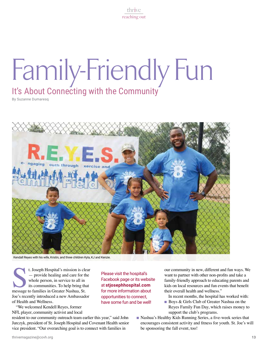thrive reaching out

# Family-Friendly Fun It's About Connecting with the Community

By Suzanne Dumaresq



Kendall Reyes with his wife, Kristin, and three children Kyla, KJ and Kenzie.

t. Joseph Hospital's mission is clear<br>
— provide healing and care for the<br>
whole person, in service to all in<br>
its communities. To help bring that<br>
message to families in Greater Nashua, St. — provide healing and care for the whole person, in service to all in its communities. To help bring that Joe's recently introduced a new Ambassador of Health and Wellness.

"We welcomed Kendell Reyes, former NFL player, community activist and local

resident to our community outreach team earlier this year," said John Jurczyk, president of St. Joseph Hospital and Covenant Health senior vice president. "Our overarching goal is to connect with families in

Please visit the hospital's Facebook page or its website at **stjosephhospital.com** for more information about opportunities to connect, have some fun and be well!

our community in new, different and fun ways. We want to partner with other non-profts and take a family-friendly approach to educating parents and kids on local resources and fun events that benefit their overall health and wellness."

- In recent months, the hospital has worked with:
- <sup>n</sup> Boys & Girls Club of Greater Nashua on the Reyes Family Fun Day, which raises money to support the club's programs.
- n Nashua's Healthy Kids Running Series, a fve-week series that encourages consistent activity and fitness for youth. St. Joe's will be sponsoring the fall event, too!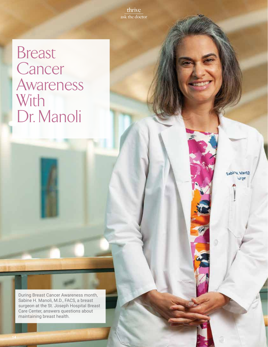thrive ask the doctor

## Breast Cancer Awareness **With** Dr. Manoli

During Breast Cancer Awareness month, Sabine H. Manoli, M.D., FACS, a breast surgeon at the St. Joseph Hospital Breast Care Center, answers questions about maintaining breast health.

Sabirw MartD. urge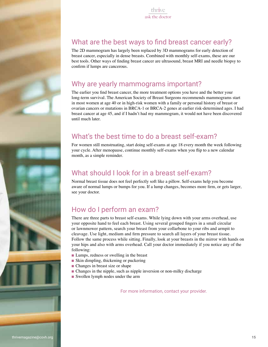## What are the best ways to find breast cancer early?

The 2D mammogram has largely been replaced by 3D mammograms for early detection of breast cancer, especially in dense breasts. Combined with monthly self-exams, these are our best tools. Other ways of finding breast cancer are ultrasound, breast MRI and needle biopsy to confrm if lumps are cancerous.

### Why are yearly mammograms important?

The earlier you find breast cancer, the more treatment options you have and the better your long-term survival. The American Society of Breast Surgeons recommends mammograms start in most women at age 40 or in high-risk women with a family or personal history of breast or ovarian cancers or mutations in BRCA-1 or BRCA-2 genes at earlier risk-determined ages. I had breast cancer at age 45, and if I hadn't had my mammogram, it would not have been discovered until much later.

## What's the best time to do a breast self-exam?

For women still menstruating, start doing self-exams at age 18 every month the week following your cycle. After menopause, continue monthly self-exams when you fip to a new calendar month, as a simple reminder.

## What should I look for in a breast self-exam?

Normal breast tissue does not feel perfectly soft like a pillow. Self-exams help you become aware of normal lumps or bumps for you. If a lump changes, becomes more firm, or gets larger, see your doctor.

## How do I perform an exam?

There are three parts to breast self-exams. While lying down with your arms overhead, use your opposite hand to feel each breast. Using several grouped fingers in a small circular or lawnmower pattern, search your breast from your collarbone to your ribs and armpit to cleavage. Use light, medium and firm pressure to search all layers of your breast tissue. Follow the same process while sitting. Finally, look at your breasts in the mirror with hands on your hips and also with arms overhead. Call your doctor immediately if you notice any of the following:

- <sup>n</sup> Lumps, redness or swelling in the breast
- <sup>n</sup> Skin dimpling, thickening or puckering
- <sup>n</sup> Changes in breast size or shape
- <sup>n</sup> Changes in the nipple, such as nipple inversion or non-milky discharge
- <sup>n</sup> Swollen lymph nodes under the arm

For more information, contact your provider.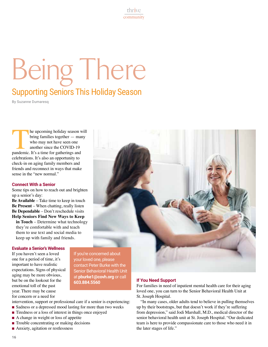thrive community

# Being There Supporting Seniors This Holiday Season

By Suzanne Dumaresq

The upcoming holiday season will<br>
bring families together — many<br>
who may not have seen one<br>
another since the COVID-19<br>
pandemic. It's a time for gatherings and bring families together — many who may not have seen one another since the COVID-19 celebrations. It's also an opportunity to check-in on aging family members and friends and reconnect in ways that make sense in the "new normal."

### **Connect With a Senior**

Some tips on how to reach out and brighten up a senior's day:

**Be Available** – Take time to keep in touch **Be Present** – When chatting, really listen **Be Dependable** – Don't reschedule visits **Help Seniors Find New Ways to Keep in Touch** – Determine what technology they're comfortable with and teach them to use text and social media to keep up with family and friends.

#### **Evaluate a Senior's Wellness**

If you haven't seen a loved one for a period of time, it's important to have realistic expectations. Signs of physical aging may be more obvious, but be on the lookout for the emotional toll of the past year. There may be cause for concern or a need for

your loved one, please contact Peter Burke with the Senior Behavioral Health Unit at **pburke1@covh.org** or call **603.884.5560**

intervention, support or professional care if a senior is experiencing: <sup>n</sup> Sadness or a depressed mood lasting for more than two weeks

- <sup>n</sup> Tiredness or a loss of interest in things once enjoyed
- n A change in weight or loss of appetite
- <sup>n</sup> Trouble concentrating or making decisions
- <sup>n</sup> Anxiety, agitation or restlessness



### **If You Need Support**

For families in need of inpatient mental health care for their aging loved one, you can turn to the Senior Behavioral Health Unit at St. Joseph Hospital.

"In many cases, older adults tend to believe in pulling themselves up by their bootstraps, but that doesn't work if they're suffering from depression," said Jodi Marshall, M.D., medical director of the senior behavioral health unit at St. Joseph Hospital. "Our dedicated team is here to provide compassionate care to those who need it in the later stages of life."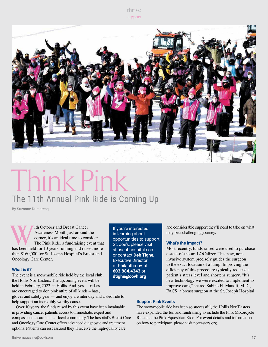

thrive

## Think Pink The 11th Annual Pink Ride is Coming Up

By Suzanne Dumaresq

With October and Breast Cancer<br>
Awareness Month just around the<br>
corner, it's an ideal time to consider<br>
The Pink Ride, a fundraising event that<br>
has been held for 10 years running and raised more Awareness Month just around the corner, it's an ideal time to consider The Pink Ride, a fundraising event that than \$160,000 for St. Joseph Hospital's Breast and Oncology Care Center.

### **What is it?**

The event is a snowmobile ride held by the local club, the Hollis Nor'Easters. The upcoming event will be held in February, 2022, in Hollis. And, yes — riders are encouraged to don pink attire of all kinds – hats,

gloves and safety gear — and enjoy a winter day and a sled ride to help support an incredibly worthy cause.

Over 10 years, the funds raised by this event have been invaluable in providing cancer patients access to immediate, expert and compassionate care in their local community. The hospital's Breast Care and Oncology Care Center offers advanced diagnostic and treatment options. Patients can rest assured they'll receive the high-quality care

If you're interested in learning about opportunities to support St. Joe's, please visit stjosephhospital.com or contact **Deb Tighe,** Executive Director of Philanthropy, at **603.884.4343** or **dtighe@covh.org**

and considerable support they'll need to take on what may be a challenging journey.

### **What's the Impact?**

Most recently, funds raised were used to purchase a state-of-the-art LOCalizer. This new, noninvasive system precisely guides the surgeon to the exact location of a lump. Improving the efficiency of this procedure typically reduces a patient's stress level and shortens surgery. "It's new technology we were excited to implement to improve care," shared Sabine H. Manoli, M.D., FACS, a breast surgeon at the St. Joseph Hospital.

### **Support Pink Events**

The snowmobile ride has been so successful, the Hollis Nor'Easters have expanded the fun and fundraising to include the Pink Motorcycle Ride and the Pink Equestrian Ride. For event details and information on how to participate, please visit noreasters.org.